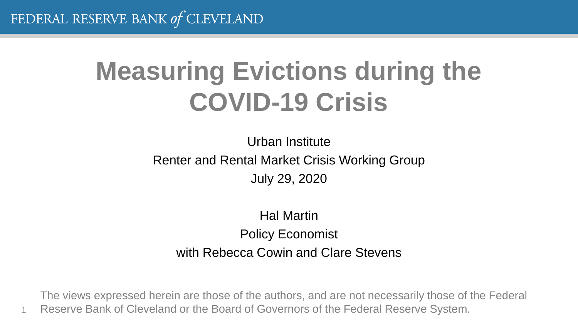1

# **Measuring Evictions during the COVID-19 Crisis**

Urban Institute Renter and Rental Market Crisis Working Group July 29, 2020

Hal Martin Policy Economist with Rebecca Cowin and Clare Stevens

The views expressed herein are those of the authors, and are not necessarily those of the Federal Reserve Bank of Cleveland or the Board of Governors of the Federal Reserve System.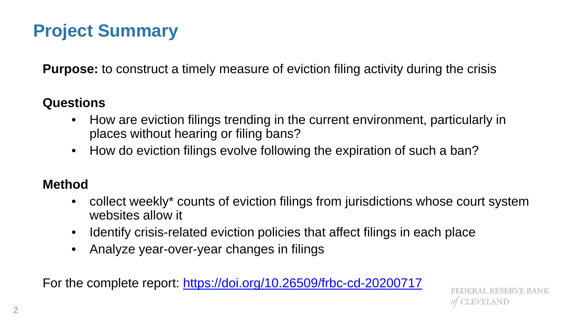## **Project Summary**

**Purpose:** to construct a timely measure of eviction filing activity during the crisis

#### **Questions**

- How are eviction filings trending in the current environment, particularly in places without hearing or filing bans?
- How do eviction filings evolve following the expiration of such a ban?

#### **Method**

- collect weekly\* counts of eviction filings from jurisdictions whose court system websites allow it
- Identify crisis-related eviction policies that affect filings in each place
- Analyze year-over-year changes in filings

For the complete report: <https://doi.org/10.26509/frbc-cd-20200717>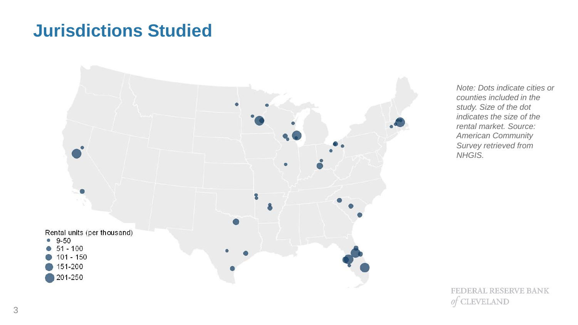### **Jurisdictions Studied**



*Note: Dots indicate cities or counties included in the study. Size of the dot indicates the size of the rental market. Source: American Community Survey retrieved from NHGIS.*

**FEDERAL RESERVE BANK CLEVELAND** 0t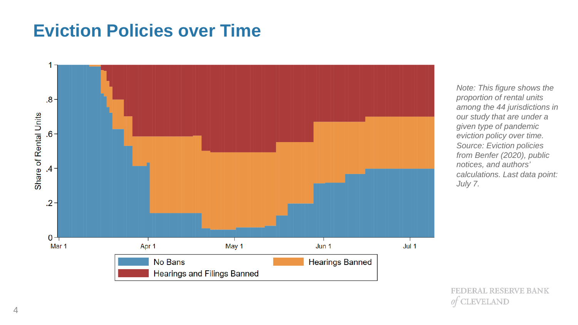## **Eviction Policies over Time**



*Note: This figure shows the proportion of rental units among the 44 jurisdictions in our study that are under a given type of pandemic eviction policy over time. Source: Eviction policies from Benfer (2020), public notices, and authors' calculations. Last data point: July 7.*

**FEDERAL RESERVE BANK** LEVELAND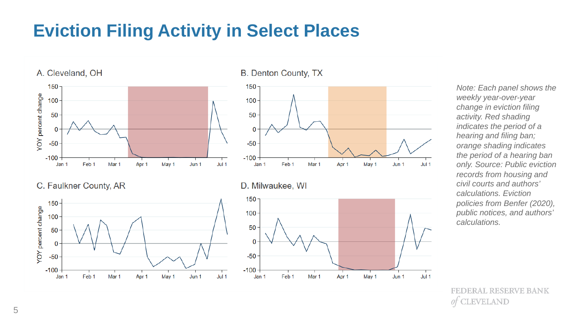# **Eviction Filing Activity in Select Places**



*Note: Each panel shows the weekly year-over-year change in eviction filing activity. Red shading indicates the period of a hearing and filing ban; orange shading indicates the period of a hearing ban only. Source: Public eviction records from housing and civil courts and authors' calculations. Eviction policies from Benfer (2020), public notices, and authors' calculations.*

ERAL RESERVE BANK **EVELAND**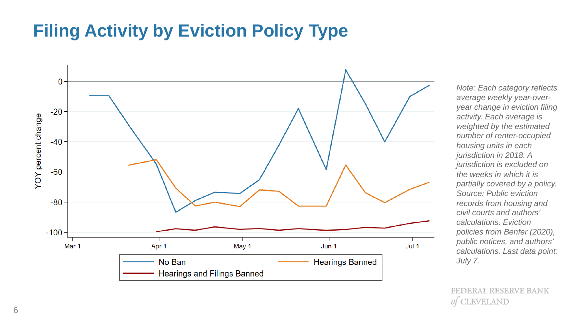## **Filing Activity by Eviction Policy Type**



*Note: Each category reflects average weekly year-overyear change in eviction filing activity. Each average is weighted by the estimated number of renter-occupied housing units in each jurisdiction in 2018. A jurisdiction is excluded on the weeks in which it is partially covered by a policy. Source: Public eviction records from housing and civil courts and authors' calculations. Eviction policies from Benfer (2020), public notices, and authors' calculations. Last data point: July 7.*

**FEDERAL RESERVE BANK** LEVELAND